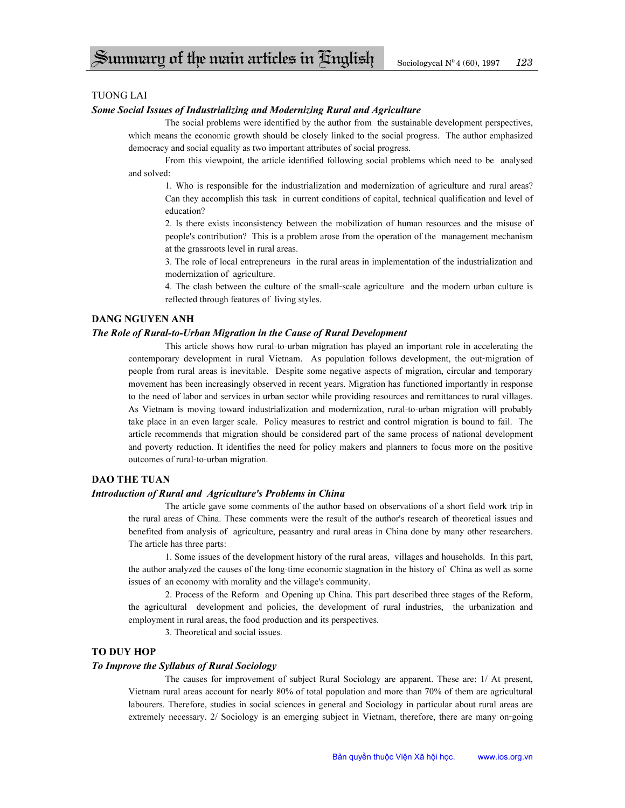# TUONG LAI

### *Some Social Issues of Industrializing and Modernizing Rural and Agriculture*

The social problems were identified by the author from the sustainable development perspectives, which means the economic growth should be closely linked to the social progress. The author emphasized democracy and social equality as two important attributes of social progress.

 From this viewpoint, the article identified following social problems which need to be analysed and solved:

1. Who is responsible for the industrialization and modernization of agriculture and rural areas? Can they accomplish this task in current conditions of capital, technical qualification and level of education?

2. Is there exists inconsistency between the mobilization of human resources and the misuse of people's contribution? This is a problem arose from the operation of the management mechanism at the grassroots level in rural areas.

3. The role of local entrepreneurs in the rural areas in implementation of the industrialization and modernization of agriculture.

4. The clash between the culture of the small-scale agriculture and the modern urban culture is reflected through features of living styles.

# **DANG NGUYEN ANH**

#### *The Role of Rural-to-Urban Migration in the Cause of Rural Development*

This article shows how rural-to-urban migration has played an important role in accelerating the contemporary development in rural Vietnam. As population follows development, the out-migration of people from rural areas is inevitable. Despite some negative aspects of migration, circular and temporary movement has been increasingly observed in recent years. Migration has functioned importantly in response to the need of labor and services in urban sector while providing resources and remittances to rural villages. As Vietnam is moving toward industrialization and modernization, rural-to-urban migration will probably take place in an even larger scale. Policy measures to restrict and control migration is bound to fail. The article recommends that migration should be considered part of the same process of national development and poverty reduction. It identifies the need for policy makers and planners to focus more on the positive outcomes of rural-to-urban migration.

# **DAO THE TUAN**

### *Introduction of Rural and Agriculture's Problems in China*

The article gave some comments of the author based on observations of a short field work trip in the rural areas of China. These comments were the result of the author's research of theoretical issues and benefited from analysis of agriculture, peasantry and rural areas in China done by many other researchers. The article has three parts:

 1. Some issues of the development history of the rural areas, villages and households. In this part, the author analyzed the causes of the long-time economic stagnation in the history of China as well as some issues of an economy with morality and the village's community.

 2. Process of the Reform and Opening up China. This part described three stages of the Reform, the agricultural development and policies, the development of rural industries, the urbanization and employment in rural areas, the food production and its perspectives.

3. Theoretical and social issues.

## **TO DUY HOP**

### *To Improve the Syllabus of Rural Sociology*

The causes for improvement of subject Rural Sociology are apparent. These are: 1/ At present, Vietnam rural areas account for nearly 80% of total population and more than 70% of them are agricultural labourers. Therefore, studies in social sciences in general and Sociology in particular about rural areas are extremely necessary. 2/ Sociology is an emerging subject in Vietnam, therefore, there are many on-going